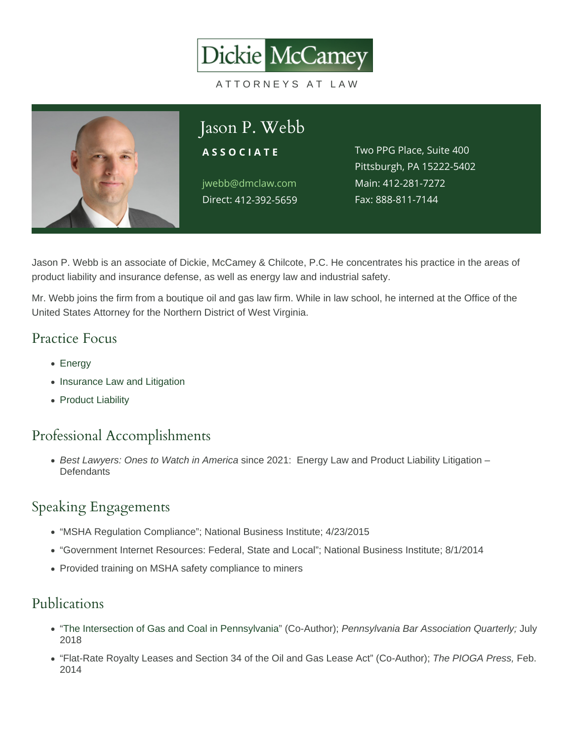

Jason P. Webb is an associate of Dickie, McCamey & Chilcote, P.C. He concentrates his practice in the areas of product liability and insurance defense, as well as energy law and industrial safety.

Mr. Webb joins the firm from a boutique oil and gas law firm. While in law school, he interned at the Office of the United States Attorney for the Northern District of West Virginia.

#### Practice Focus

- [Energy](https://www.dmclaw.com/practices/energy/)
- [Insurance Law and Litigation](https://www.dmclaw.com/practices/insurance-law-and-litigation/)
- [Product Liability](https://www.dmclaw.com/practices/product-liability/)

### Professional Accomplishments

Best Lawyers: Ones to Watch in America since 2021: Energy Law and Product Liability Litigation – **Defendants** 

#### Speaking Engagements

- "MSHA Regulation Compliance"; National Business Institute; 4/23/2015
- "Government Internet Resources: Federal, State and Local"; National Business Institute; 8/1/2014
- Provided training on MSHA safety compliance to miners

### Publications

- "[The Intersection of Gas and Coal in Pennsylvania](/wp-content/uploads/2018/08/Webb-The-Intersection-of-Gas-and-Coal.pdf)" (Co-Author); Pennsylvania Bar Association Quarterly; July 2018
- "Flat-Rate Royalty Leases and Section 34 of the Oil and Gas Lease Act" (Co-Author); The PIOGA Press, Feb. 2014